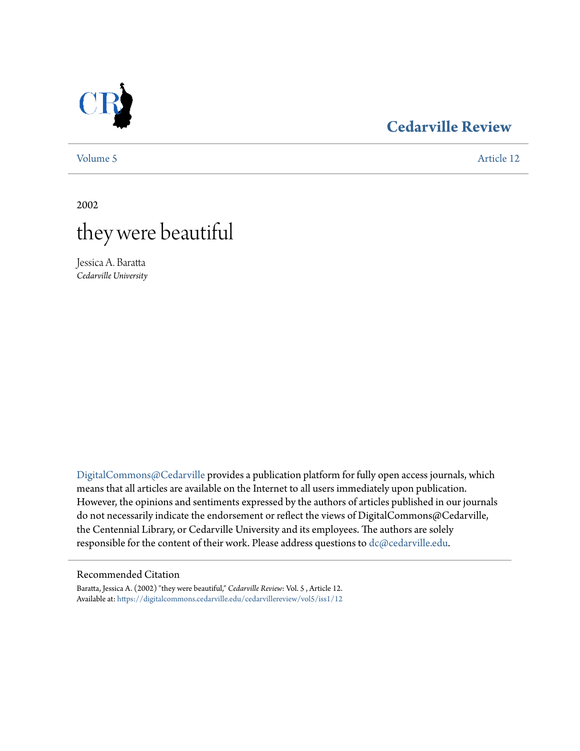

# **[Cedarville Review](https://digitalcommons.cedarville.edu/cedarvillereview?utm_source=digitalcommons.cedarville.edu%2Fcedarvillereview%2Fvol5%2Fiss1%2F12&utm_medium=PDF&utm_campaign=PDFCoverPages)**

[Volume 5](https://digitalcommons.cedarville.edu/cedarvillereview/vol5?utm_source=digitalcommons.cedarville.edu%2Fcedarvillereview%2Fvol5%2Fiss1%2F12&utm_medium=PDF&utm_campaign=PDFCoverPages) [Article 12](https://digitalcommons.cedarville.edu/cedarvillereview/vol5/iss1/12?utm_source=digitalcommons.cedarville.edu%2Fcedarvillereview%2Fvol5%2Fiss1%2F12&utm_medium=PDF&utm_campaign=PDFCoverPages)

2002



Jessica A. Baratta *Cedarville University*

[DigitalCommons@Cedarville](http://digitalcommons.cedarville.edu) provides a publication platform for fully open access journals, which means that all articles are available on the Internet to all users immediately upon publication. However, the opinions and sentiments expressed by the authors of articles published in our journals do not necessarily indicate the endorsement or reflect the views of DigitalCommons@Cedarville, the Centennial Library, or Cedarville University and its employees. The authors are solely responsible for the content of their work. Please address questions to [dc@cedarville.edu](mailto:dc@cedarville.edu).

#### Recommended Citation

Baratta, Jessica A. (2002) "they were beautiful," *Cedarville Review*: Vol. 5 , Article 12. Available at: [https://digitalcommons.cedarville.edu/cedarvillereview/vol5/iss1/12](https://digitalcommons.cedarville.edu/cedarvillereview/vol5/iss1/12?utm_source=digitalcommons.cedarville.edu%2Fcedarvillereview%2Fvol5%2Fiss1%2F12&utm_medium=PDF&utm_campaign=PDFCoverPages)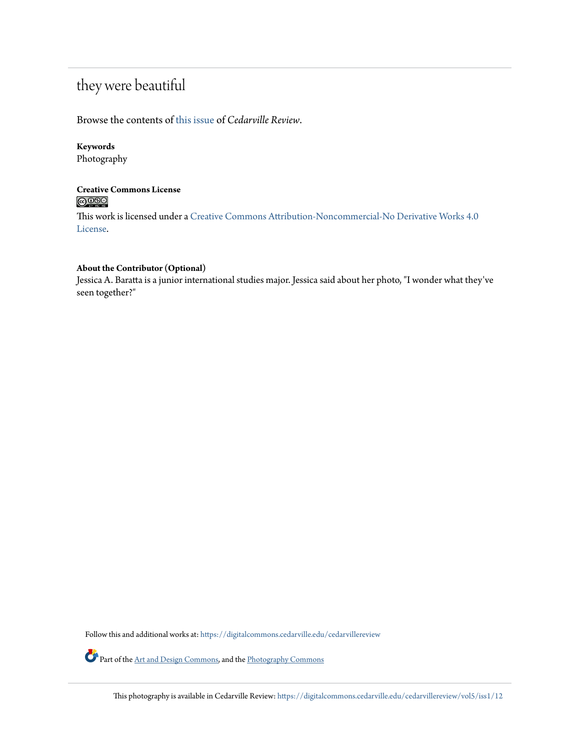# they were beautiful

# Browse the contents of [this issue](https://digitalcommons.cedarville.edu/cedarvillereview/vol5/iss1) of *Cedarville Review*.

### **Keywords**

Photography

## **Creative Commons License**  $\bigcirc$   $\circ$

This work is licensed under a [Creative Commons Attribution-Noncommercial-No Derivative Works 4.0](http://creativecommons.org/licenses/by-nc-nd/4.0/) [License.](http://creativecommons.org/licenses/by-nc-nd/4.0/)

#### **About the Contributor (Optional)**

Jessica A. Baratta is a junior international studies major. Jessica said about her photo, "I wonder what they've seen together?"

Follow this and additional works at: [https://digitalcommons.cedarville.edu/cedarvillereview](https://digitalcommons.cedarville.edu/cedarvillereview?utm_source=digitalcommons.cedarville.edu%2Fcedarvillereview%2Fvol5%2Fiss1%2F12&utm_medium=PDF&utm_campaign=PDFCoverPages)

Part of the [Art and Design Commons,](http://network.bepress.com/hgg/discipline/1049?utm_source=digitalcommons.cedarville.edu%2Fcedarvillereview%2Fvol5%2Fiss1%2F12&utm_medium=PDF&utm_campaign=PDFCoverPages) and the [Photography Commons](http://network.bepress.com/hgg/discipline/1142?utm_source=digitalcommons.cedarville.edu%2Fcedarvillereview%2Fvol5%2Fiss1%2F12&utm_medium=PDF&utm_campaign=PDFCoverPages)